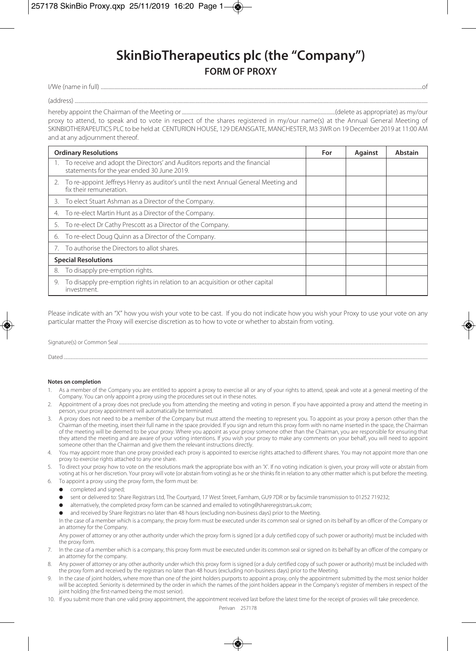## **SkinBioTherapeutics plc (the "Company") FORM OF PROXY**

I/We (name in full) ........................................................................................................................................................................................................................................................................of

(address) ..................................................................................................................................................................................................................................................................................................

hereby appoint the Chairman of the Meeting or..............................................................................................................................(delete as appropriate) as my/our

proxy to attend, to speak and to vote in respect of the shares registered in my/our name(s) at the Annual General Meeting of SKINBIOTHERAPEUTICS PLC to be held at CENTURION HOUSE, 129 DEANSGATE, MANCHESTER, M3 3WR on 19 December 2019 at 11:00 AM and at any adjournment thereof.

| <b>Ordinary Resolutions</b>                                                                                               | For | <b>Against</b> | Abstain |
|---------------------------------------------------------------------------------------------------------------------------|-----|----------------|---------|
| To receive and adopt the Directors' and Auditors reports and the financial<br>statements for the year ended 30 June 2019. |     |                |         |
| 2. To re-appoint Jeffreys Henry as auditor's until the next Annual General Meeting and<br>fix their remuneration.         |     |                |         |
| 3. To elect Stuart Ashman as a Director of the Company.                                                                   |     |                |         |
| To re-elect Martin Hunt as a Director of the Company.<br>4.                                                               |     |                |         |
| 5. To re-elect Dr Cathy Prescott as a Director of the Company.                                                            |     |                |         |
| To re-elect Doug Quinn as a Director of the Company.<br>6.                                                                |     |                |         |
| To authorise the Directors to allot shares.                                                                               |     |                |         |
| <b>Special Resolutions</b>                                                                                                |     |                |         |
| To disapply pre-emption rights.<br>8.                                                                                     |     |                |         |
| To disapply pre-emption rights in relation to an acquisition or other capital<br>9.<br>investment.                        |     |                |         |

Please indicate with an "X" how you wish your vote to be cast. If you do not indicate how you wish your Proxy to use your vote on any particular matter the Proxy will exercise discretion as to how to vote or whether to abstain from voting.

Signature(s) or Common Seal

Dated .............................................................................................................................................................................................................................................................................................................................................................

## **Notes on completion**

- 1. As a member of the Company you are entitled to appoint a proxy to exercise all or any of your rights to attend, speak and vote at a general meeting of the Company. You can only appoint a proxy using the procedures set out in these notes.
- 2. Appointment of a proxy does not preclude you from attending the meeting and voting in person. If you have appointed a proxy and attend the meeting in person, your proxy appointment will automatically be terminated.
- 3. A proxy does not need to be a member of the Company but must attend the meeting to represent you. To appoint as your proxy a person other than the Chairman of the meeting, insert their full name in the space provided. If you sign and return this proxy form with no name inserted in the space, the Chairman of the meeting will be deemed to be your proxy. Where you appoint as your proxy someone other than the Chairman, you are responsible for ensuring that they attend the meeting and are aware of your voting intentions. If you wish your proxy to make any comments on your behalf, you will need to appoint someone other than the Chairman and give them the relevant instructions directly.
- You may appoint more than one proxy provided each proxy is appointed to exercise rights attached to different shares. You may not appoint more than one proxy to exercise rights attached to any one share.
- 5. To direct your proxy how to vote on the resolutions mark the appropriate box with an 'X'. If no voting indication is given, your proxy will vote or abstain from voting at his or her discretion. Your proxy will vote (or abstain from voting) as he or she thinks fit in relation to any other matter which is put before the meeting.
- 6. To appoint a proxy using the proxy form, the form must be:
	- completed and signed:
	- sent or delivered to: Share Registrars Ltd, The Courtyard, 17 West Street, Farnham, GU9 7DR or by facsimile transmission to 01252 719232;
	- alternatively, the completed proxy form can be scanned and emailed to voting@shareregistrars.uk.com;
	- and received by Share Registrars no later than 48 hours (excluding non-business days) prior to the Meeting.

 In the case of a member which is a company, the proxy form must be executed under its common seal or signed on its behalf by an officer of the Company or an attorney for the Company.

 Any power of attorney or any other authority under which the proxy form is signed (or a duly certified copy of such power or authority) must be included with the proxy form.

- 7. In the case of a member which is a company, this proxy form must be executed under its common seal or signed on its behalf by an officer of the company or an attorney for the company.
- 8. Any power of attorney or any other authority under which this proxy form is signed (or a duly certified copy of such power or authority) must be included with the proxy form and received by the registrars no later than 48 hours (excluding non-business days) prior to the Meeting.
- In the case of joint holders, where more than one of the joint holders purports to appoint a proxy, only the appointment submitted by the most senior holder will be accepted. Seniority is determined by the order in which the names of the joint holders appear in the Company's register of members in respect of the joint holding (the first-named being the most senior).
- 10. If you submit more than one valid proxy appointment, the appointment received last before the latest time for the receipt of proxies will take precedence.